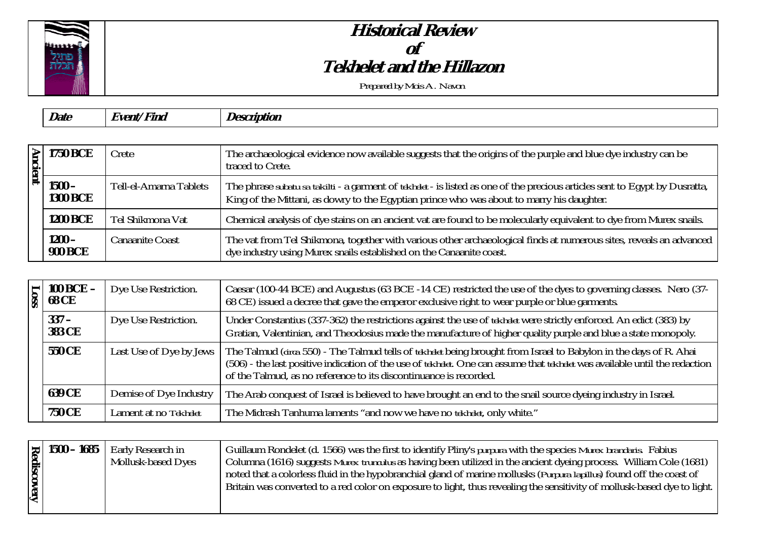

## **Historical Review of Tekhelet and the Hillazon**

*Prepared by Mois A. Navon*

| $\overline{\phantom{a}}$<br><i>Date</i><br>' Fina<br><i><b>Hvent</b></i><br><i>Description</i> |
|------------------------------------------------------------------------------------------------|
|------------------------------------------------------------------------------------------------|

|  | $\geq$ 1750 BCE             | Crete                  | The archaeological evidence now available suggests that the origins of the purple and blue dye industry can be<br>traced to Crete.                                                                                                     |
|--|-----------------------------|------------------------|----------------------------------------------------------------------------------------------------------------------------------------------------------------------------------------------------------------------------------------|
|  | $1500 -$<br><b>1300 BCE</b> | Tell-el-Amarna Tablets | The phrase <i>subatu sa takilti</i> - a garment of <i>tekhelet</i> - is listed as one of the precious articles sent to Egypt by Dusratta,<br>King of the Mittani, as dowry to the Egyptian prince who was about to marry his daughter. |
|  | <b>1200 BCE</b>             | Tel Shikmona Vat       | Chemical analysis of dye stains on an ancient vat are found to be molecularly equivalent to dye from Murex snails.                                                                                                                     |
|  | $1200 -$<br><b>900 BCE</b>  | <b>Canaanite Coast</b> | The vat from Tel Shikmona, together with various other archaeological finds at numerous sites, reveals an advanced<br>dye industry using Murex snails established on the Canaanite coast.                                              |

|  | $\vert$ 100 BCE –<br>$\frac{1}{8}$ 100 BC | Dye Use Restriction.    | Caesar (100-44 BCE) and Augustus (63 BCE-14 CE) restricted the use of the dyes to governing classes. Nero (37-<br>68 CE) issued a decree that gave the emperor exclusive right to wear purple or blue garments.                                                                                                       |
|--|-------------------------------------------|-------------------------|-----------------------------------------------------------------------------------------------------------------------------------------------------------------------------------------------------------------------------------------------------------------------------------------------------------------------|
|  | $337 -$<br><b>383 CE</b>                  | Dye Use Restriction.    | Under Constantius (337-362) the restrictions against the use of <i>tekhelet</i> were strictly enforced. An edict (383) by<br>Gratian, Valentinian, and Theodosius made the manufacture of higher quality purple and blue a state monopoly.                                                                            |
|  | <b>550 CE</b>                             | Last Use of Dye by Jews | The Talmud (circa 550) - The Talmud tells of tekhelet being brought from Israel to Babylon in the days of R. Ahai<br>(506) - the last positive indication of the use of tekhelet. One can assume that tekhelet was available until the redaction<br>of the Talmud, as no reference to its discontinuance is recorded. |
|  | <b>639 CE</b>                             | Demise of Dye Industry  | The Arab conquest of Israel is believed to have brought an end to the snail source dyeing industry in Israel.                                                                                                                                                                                                         |
|  | <b>750 CE</b>                             | Lament at no Tekhelet   | The Midrash Tanhuma laments "and now we have no tekhelet, only white."                                                                                                                                                                                                                                                |

| <b>discovery</b> | $\left  \frac{1}{6} \right  1500 - 1685$ | Early Research in<br><b>Mollusk-based Dyes</b> | Guillaum Rondelet (d. 1566) was the first to identify Pliny's <i>purpura</i> with the species <i>Murex brandaris</i> . Fabius<br>Columna (1616) suggests <i>Murex trungulus</i> as having been utilized in the ancient dyeing process. William Cole (1681)<br>noted that a colorless fluid in the hypobranchial gland of marine mollusks ( <i>Purpura lapillus</i> ) found off the coast of<br>Britain was converted to a red color on exposure to light, thus revealing the sensitivity of mollusk-based dye to light. |
|------------------|------------------------------------------|------------------------------------------------|-------------------------------------------------------------------------------------------------------------------------------------------------------------------------------------------------------------------------------------------------------------------------------------------------------------------------------------------------------------------------------------------------------------------------------------------------------------------------------------------------------------------------|
|                  |                                          |                                                |                                                                                                                                                                                                                                                                                                                                                                                                                                                                                                                         |